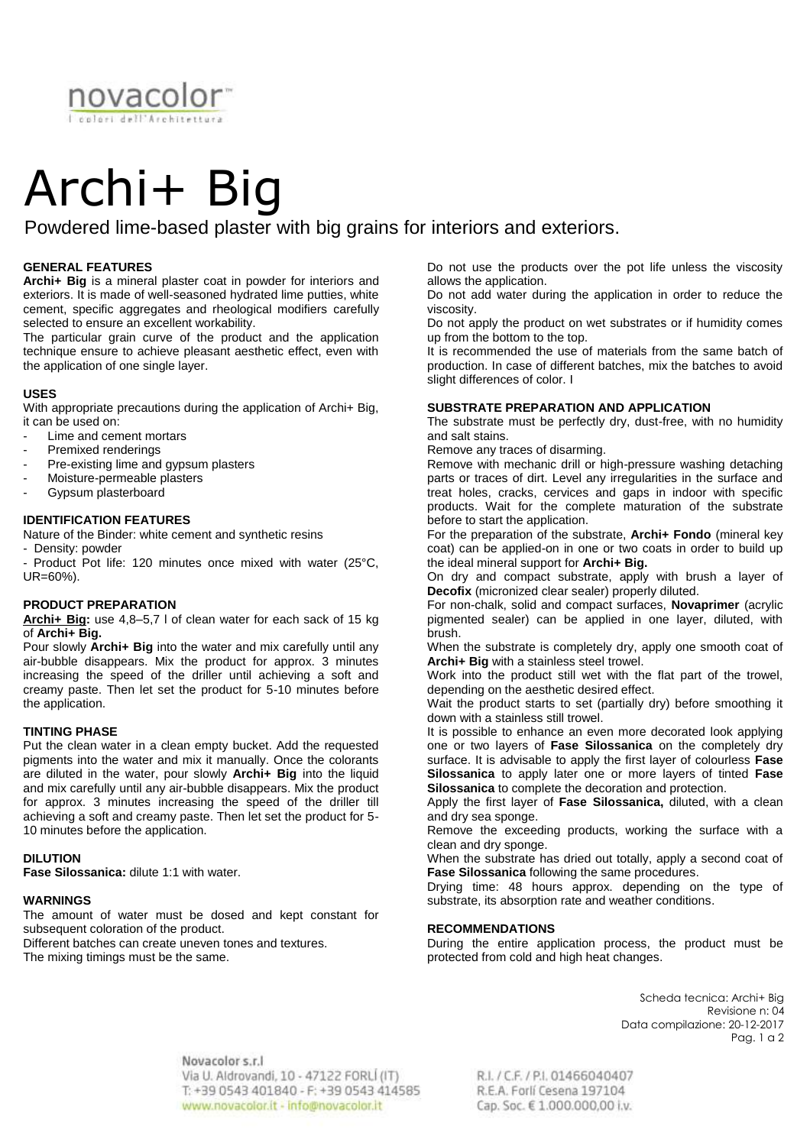

# Archi+ Big

Powdered lime-based plaster with big grains for interiors and exteriors.

# **GENERAL FEATURES**

**Archi+ Big** is a mineral plaster coat in powder for interiors and exteriors. It is made of well-seasoned hydrated lime putties, white cement, specific aggregates and rheological modifiers carefully selected to ensure an excellent workability.

The particular grain curve of the product and the application technique ensure to achieve pleasant aesthetic effect, even with the application of one single layer.

## **USES**

With appropriate precautions during the application of Archi+ Big, it can be used on:

- Lime and cement mortars
- Premixed renderings
- Pre-existing lime and gypsum plasters
- Moisture-permeable plasters
- Gypsum plasterboard

## **IDENTIFICATION FEATURES**

Nature of the Binder: white cement and synthetic resins

- Density: powder

- Product Pot life: 120 minutes once mixed with water (25°C, UR=60%).

# **PRODUCT PREPARATION**

**Archi+ Big:** use 4,8–5,7 l of clean water for each sack of 15 kg of **Archi+ Big.**

Pour slowly **Archi+ Big** into the water and mix carefully until any air-bubble disappears. Mix the product for approx. 3 minutes increasing the speed of the driller until achieving a soft and creamy paste. Then let set the product for 5-10 minutes before the application.

## **TINTING PHASE**

Put the clean water in a clean empty bucket. Add the requested pigments into the water and mix it manually. Once the colorants are diluted in the water, pour slowly **Archi+ Big** into the liquid and mix carefully until any air-bubble disappears. Mix the product for approx. 3 minutes increasing the speed of the driller till achieving a soft and creamy paste. Then let set the product for 5- 10 minutes before the application.

## **DILUTION**

**Fase Silossanica:** dilute 1:1 with water.

## **WARNINGS**

The amount of water must be dosed and kept constant for subsequent coloration of the product.

Different batches can create uneven tones and textures. The mixing timings must be the same.

Do not use the products over the pot life unless the viscosity allows the application.

Do not add water during the application in order to reduce the viscosity.

Do not apply the product on wet substrates or if humidity comes up from the bottom to the top.

It is recommended the use of materials from the same batch of production. In case of different batches, mix the batches to avoid slight differences of color. I

#### **SUBSTRATE PREPARATION AND APPLICATION**

The substrate must be perfectly dry, dust-free, with no humidity and salt stains.

Remove any traces of disarming.

Remove with mechanic drill or high-pressure washing detaching parts or traces of dirt. Level any irregularities in the surface and treat holes, cracks, cervices and gaps in indoor with specific products. Wait for the complete maturation of the substrate before to start the application.

For the preparation of the substrate, **Archi+ Fondo** (mineral key coat) can be applied-on in one or two coats in order to build up the ideal mineral support for **Archi+ Big.**

On dry and compact substrate, apply with brush a layer of **Decofix** (micronized clear sealer) properly diluted.

For non-chalk, solid and compact surfaces, **Novaprimer** (acrylic pigmented sealer) can be applied in one layer, diluted, with brush.

When the substrate is completely dry, apply one smooth coat of **Archi+ Big** with a stainless steel trowel.

Work into the product still wet with the flat part of the trowel, depending on the aesthetic desired effect.

Wait the product starts to set (partially dry) before smoothing it down with a stainless still trowel.

It is possible to enhance an even more decorated look applying one or two layers of **Fase Silossanica** on the completely dry surface. It is advisable to apply the first layer of colourless **Fase Silossanica** to apply later one or more layers of tinted **Fase Silossanica** to complete the decoration and protection.

Apply the first layer of **Fase Silossanica,** diluted, with a clean and dry sea sponge.

Remove the exceeding products, working the surface with a clean and dry sponge.

When the substrate has dried out totally, apply a second coat of **Fase Silossanica** following the same procedures.

Drying time: 48 hours approx. depending on the type of substrate, its absorption rate and weather conditions.

#### **RECOMMENDATIONS**

During the entire application process, the product must be protected from cold and high heat changes.

> Scheda tecnica: Archi+ Big Revisione n: 04 Data compilazione: 20-12-2017 Pag. 1 a 2

Novacolor s.r.l Via U. Aldrovandi, 10 - 47122 FORLI (IT) T: +39 0543 401840 - F: +39 0543 414585 www.novacolor.it - info@novacolor.it

R.I. / C.F. / P.I. 01466040407 R.E.A. Forlí Cesena 197104 Cap. Soc. € 1.000.000,00 i.v.